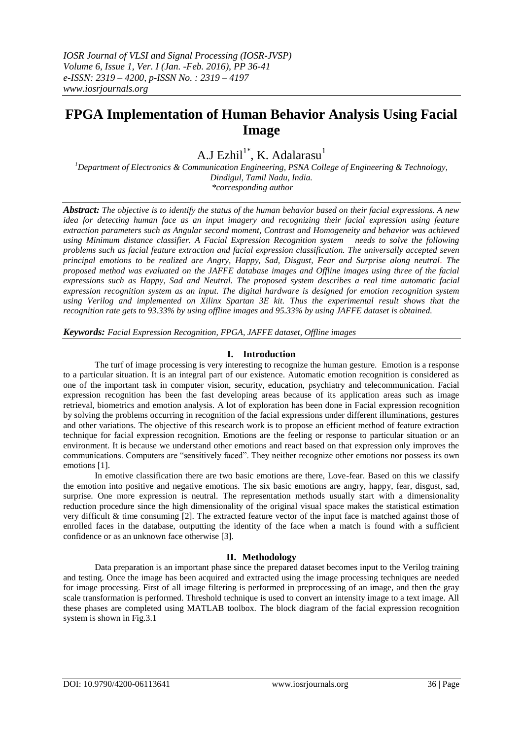# **FPGA Implementation of Human Behavior Analysis Using Facial Image**

## A.J Ezhil<sup>1\*</sup>, K. Adalarasu<sup>1</sup>

*<sup>1</sup>Department of Electronics & Communication Engineering, PSNA College of Engineering & Technology, Dindigul, Tamil Nadu, India. \*corresponding author*

*Abstract: The objective is to identify the status of the human behavior based on their facial expressions. A new idea for detecting human face as an input imagery and recognizing their facial expression using feature extraction parameters such as Angular second moment, Contrast and Homogeneity and behavior was achieved using Minimum distance classifier. A Facial Expression Recognition system needs to solve the following problems such as facial feature extraction and facial expression classification. The universally accepted seven principal emotions to be realized are Angry, Happy, Sad, Disgust, Fear and Surprise along neutral. The proposed method was evaluated on the JAFFE database images and Offline images using three of the facial expressions such as Happy, Sad and Neutral. The proposed system describes a real time automatic facial expression recognition system as an input. The digital hardware is designed for emotion recognition system using Verilog and implemented on Xilinx Spartan 3E kit. Thus the experimental result shows that the recognition rate gets to 93.33% by using offline images and 95.33% by using JAFFE dataset is obtained.*

*Keywords: Facial Expression Recognition, FPGA, JAFFE dataset, Offline images*

## **I. Introduction**

The turf of image processing is very interesting to recognize the human gesture. Emotion is a response to a particular situation. It is an integral part of our existence. Automatic emotion recognition is considered as one of the important task in computer vision, security, education, psychiatry and telecommunication. Facial expression recognition has been the fast developing areas because of its application areas such as image retrieval, biometrics and emotion analysis. A lot of exploration has been done in Facial expression recognition by solving the problems occurring in recognition of the facial expressions under different illuminations, gestures and other variations. The objective of this research work is to propose an efficient method of feature extraction technique for facial expression recognition. Emotions are the feeling or response to particular situation or an environment. It is because we understand other emotions and react based on that expression only improves the communications. Computers are "sensitively faced". They neither recognize other emotions nor possess its own emotions [1].

In emotive classification there are two basic emotions are there, Love-fear. Based on this we classify the emotion into positive and negative emotions. The six basic emotions are angry, happy, fear, disgust, sad, surprise. One more expression is neutral. The representation methods usually start with a dimensionality reduction procedure since the high dimensionality of the original visual space makes the statistical estimation very difficult & time consuming [2]. The extracted feature vector of the input face is matched against those of enrolled faces in the database, outputting the identity of the face when a match is found with a sufficient confidence or as an unknown face otherwise [3].

## **II. Methodology**

Data preparation is an important phase since the prepared dataset becomes input to the Verilog training and testing. Once the image has been acquired and extracted using the image processing techniques are needed for image processing. First of all image filtering is performed in preprocessing of an image, and then the gray scale transformation is performed. Threshold technique is used to convert an intensity image to a text image. All these phases are completed using MATLAB toolbox. The block diagram of the facial expression recognition system is shown in Fig.3.1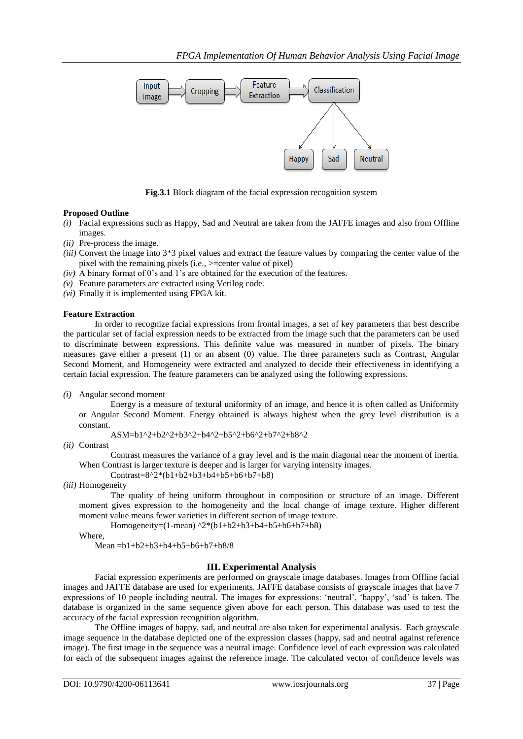

**Fig.3.1** Block diagram of the facial expression recognition system

## **Proposed Outline**

- *(i)* Facial expressions such as Happy, Sad and Neutral are taken from the JAFFE images and also from Offline images.
- *(ii)* Pre-process the image.
- *(iii)* Convert the image into 3\*3 pixel values and extract the feature values by comparing the center value of the pixel with the remaining pixels (i.e., >=center value of pixel)
- *(iv)* A binary format of 0's and 1's are obtained for the execution of the features.
- *(v)* Feature parameters are extracted using Verilog code.
- *(vi)* Finally it is implemented using FPGA kit.

## **Feature Extraction**

In order to recognize facial expressions from frontal images, a set of key parameters that best describe the particular set of facial expression needs to be extracted from the image such that the parameters can be used to discriminate between expressions. This definite value was measured in number of pixels. The binary measures gave either a present (1) or an absent (0) value. The three parameters such as Contrast, Angular Second Moment, and Homogeneity were extracted and analyzed to decide their effectiveness in identifying a certain facial expression. The feature parameters can be analyzed using the following expressions.

*(i)* Angular second moment

Energy is a measure of textural uniformity of an image, and hence it is often called as Uniformity or Angular Second Moment. Energy obtained is always highest when the grey level distribution is a constant.

$$
ASM = b1^2 + b2^2 + b3^2 + b4^2 + b5^2 + b6^2 + b7^2 + b8^2
$$

*(ii)* Contrast

Contrast measures the variance of a gray level and is the main diagonal near the moment of inertia. When Contrast is larger texture is deeper and is larger for varying intensity images.

Contrast=8^2\*(b1+b2+b3+b4+b5+b6+b7+b8)

*(iii)* Homogeneity

The quality of being uniform throughout in composition or structure of an image. Different moment gives expression to the homogeneity and the local change of image texture. Higher different moment value means fewer varieties in different section of image texture.

Homogeneity=(1-mean) ^2\*(b1+b2+b3+b4+b5+b6+b7+b8)

Where,

Mean =b1+b2+b3+b4+b5+b6+b7+b8/8

## **III. Experimental Analysis**

Facial expression experiments are performed on grayscale image databases. Images from Offline facial images and JAFFE database are used for experiments. JAFFE database consists of grayscale images that have 7 expressions of 10 people including neutral. The images for expressions: 'neutral', 'happy', 'sad' is taken. The database is organized in the same sequence given above for each person. This database was used to test the accuracy of the facial expression recognition algorithm.

The Offline images of happy, sad, and neutral are also taken for experimental analysis. Each grayscale image sequence in the database depicted one of the expression classes (happy, sad and neutral against reference image). The first image in the sequence was a neutral image. Confidence level of each expression was calculated for each of the subsequent images against the reference image. The calculated vector of confidence levels was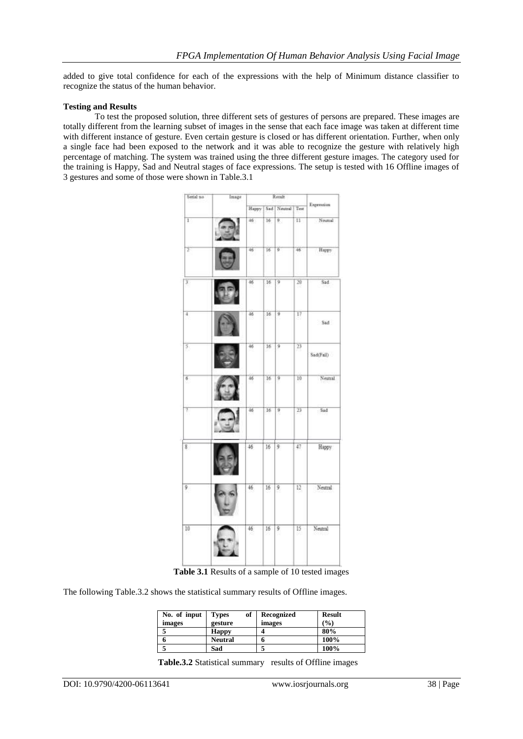added to give total confidence for each of the expressions with the help of Minimum distance classifier to recognize the status of the human behavior.

### **Testing and Results**

To test the proposed solution, three different sets of gestures of persons are prepared. These images are totally different from the learning subset of images in the sense that each face image was taken at different time with different instance of gesture. Even certain gesture is closed or has different orientation. Further, when only a single face had been exposed to the network and it was able to recognize the gesture with relatively high percentage of matching. The system was trained using the three different gesture images. The category used for the training is Happy, Sad and Neutral stages of face expressions. The setup is tested with 16 Offline images of 3 gestures and some of those were shown in Table.3.1



**Table 3.1** Results of a sample of 10 tested images

The following Table.3.2 shows the statistical summary results of Offline images.

| No. of input<br>images | of<br><b>Types</b><br>gesture | Recognized<br>images | <b>Result</b><br>(%) |
|------------------------|-------------------------------|----------------------|----------------------|
|                        | <b>Happy</b>                  |                      | 80%                  |
|                        | <b>Neutral</b>                |                      | 100%                 |
|                        | Sad                           |                      | 100%                 |

**Table.3.2** Statistical summary results of Offline images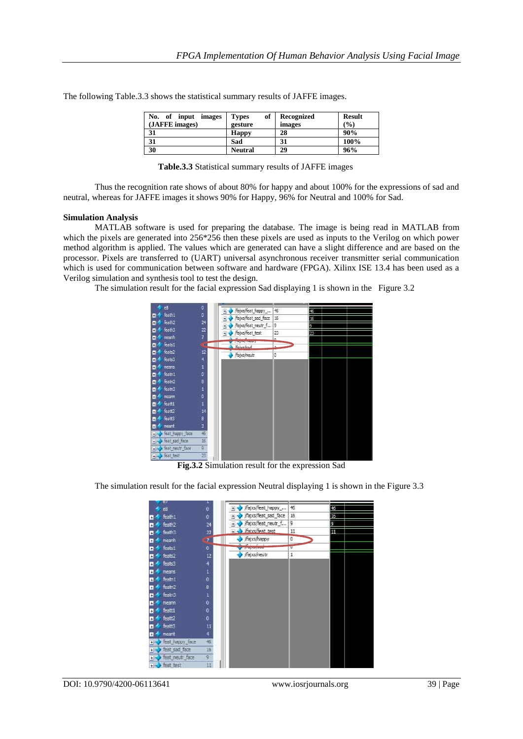| No.<br>- of<br>input images<br>(JAFFE images) | of<br><b>Types</b><br>gesture | Recognized<br>images | <b>Result</b><br>(%) |
|-----------------------------------------------|-------------------------------|----------------------|----------------------|
| 31                                            | <b>Happy</b>                  | 28                   | 90%                  |
| 31                                            | Sad                           | 31                   | 100%                 |
| 30                                            | <b>Neutral</b>                | 29                   | 96%                  |

The following Table.3.3 shows the statistical summary results of JAFFE images.

| Table.3.3 Statistical summary results of JAFFE images |  |  |
|-------------------------------------------------------|--|--|
|-------------------------------------------------------|--|--|

Thus the recognition rate shows of about 80% for happy and about 100% for the expressions of sad and neutral, whereas for JAFFE images it shows 90% for Happy, 96% for Neutral and 100% for Sad.

#### **Simulation Analysis**

MATLAB software is used for preparing the database. The image is being read in MATLAB from which the pixels are generated into 256\*256 then these pixels are used as inputs to the Verilog on which power method algorithm is applied. The values which are generated can have a slight difference and are based on the processor. Pixels are transferred to (UART) universal asynchronous receiver transmitter serial communication which is used for communication between software and hardware (FPGA). Xilinx ISE 13.4 has been used as a Verilog simulation and synthesis tool to test the design.

The simulation result for the facial expression Sad displaying 1 is shown in the Figure 3.2



**Fig.3.2** Simulation result for the expression Sad

The simulation result for the facial expression Neutral displaying 1 is shown in the Figure 3.3

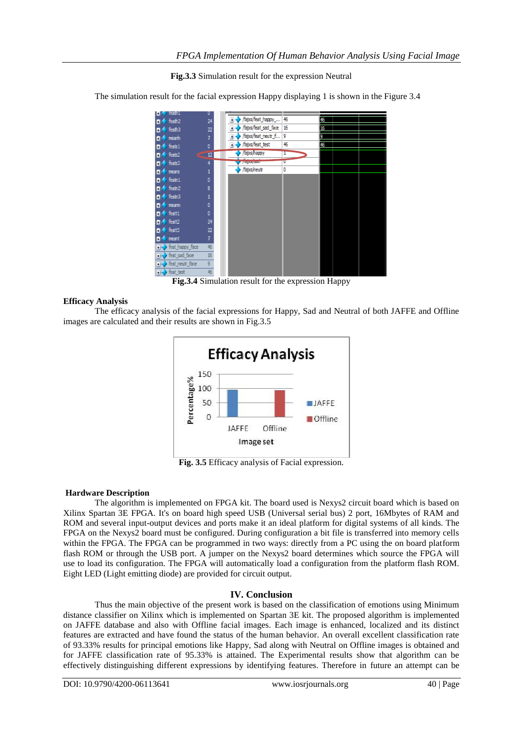**Fig.3.3** Simulation result for the expression Neutral

The simulation result for the facial expression Happy displaying 1 is shown in the Figure 3.4



**Fig.3.4** Simulation result for the expression Happy

## **Efficacy Analysis**

The efficacy analysis of the facial expressions for Happy, Sad and Neutral of both JAFFE and Offline images are calculated and their results are shown in Fig.3.5



**Fig. 3.5** Efficacy analysis of Facial expression.

## **Hardware Description**

The algorithm is implemented on FPGA kit. The board used is Nexys2 circuit board which is based on Xilinx Spartan 3E FPGA. It's on board high speed USB (Universal serial bus) 2 port, 16Mbytes of RAM and ROM and several input-output devices and ports make it an ideal platform for digital systems of all kinds. The FPGA on the Nexys2 board must be configured. During configuration a bit file is transferred into memory cells within the FPGA. The FPGA can be programmed in two ways: directly from a PC using the on board platform flash ROM or through the USB port. A jumper on the Nexys2 board determines which source the FPGA will use to load its configuration. The FPGA will automatically load a configuration from the platform flash ROM. Eight LED (Light emitting diode) are provided for circuit output.

## **IV. Conclusion**

Thus the main objective of the present work is based on the classification of emotions using Minimum distance classifier on Xilinx which is implemented on Spartan 3E kit. The proposed algorithm is implemented on JAFFE database and also with Offline facial images. Each image is enhanced, localized and its distinct features are extracted and have found the status of the human behavior. An overall excellent classification rate of 93.33% results for principal emotions like Happy, Sad along with Neutral on Offline images is obtained and for JAFFE classification rate of 95.33% is attained. The Experimental results show that algorithm can be effectively distinguishing different expressions by identifying features. Therefore in future an attempt can be